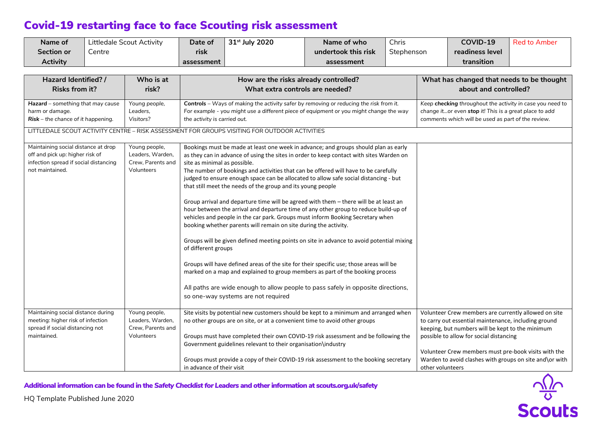| Name of<br>Section or<br><b>Activity</b>                                                                                                                                                          | Centre | Littledale Scout Activity                                            | Date of<br>risk<br>assessment                                                                                                                                                                                                                                                                                                                                                                                                                   | 31st July 2020                                                                                                                                                                                                                                                                                                                                                                                                                                                                                                                                                                                                                                                                                                                                                                                                                                                                                                                                                                                                                                                                                                                                                        | Name of who<br>undertook this risk<br>assessment | Chris<br>Stephenson                                                                                                                                                                                                                                                                                                                                |  | COVID-19<br>readiness level<br>transition | <b>Red to Amber</b> |
|---------------------------------------------------------------------------------------------------------------------------------------------------------------------------------------------------|--------|----------------------------------------------------------------------|-------------------------------------------------------------------------------------------------------------------------------------------------------------------------------------------------------------------------------------------------------------------------------------------------------------------------------------------------------------------------------------------------------------------------------------------------|-----------------------------------------------------------------------------------------------------------------------------------------------------------------------------------------------------------------------------------------------------------------------------------------------------------------------------------------------------------------------------------------------------------------------------------------------------------------------------------------------------------------------------------------------------------------------------------------------------------------------------------------------------------------------------------------------------------------------------------------------------------------------------------------------------------------------------------------------------------------------------------------------------------------------------------------------------------------------------------------------------------------------------------------------------------------------------------------------------------------------------------------------------------------------|--------------------------------------------------|----------------------------------------------------------------------------------------------------------------------------------------------------------------------------------------------------------------------------------------------------------------------------------------------------------------------------------------------------|--|-------------------------------------------|---------------------|
|                                                                                                                                                                                                   |        |                                                                      |                                                                                                                                                                                                                                                                                                                                                                                                                                                 |                                                                                                                                                                                                                                                                                                                                                                                                                                                                                                                                                                                                                                                                                                                                                                                                                                                                                                                                                                                                                                                                                                                                                                       |                                                  |                                                                                                                                                                                                                                                                                                                                                    |  |                                           |                     |
| Hazard Identified? /<br><b>Risks from it?</b>                                                                                                                                                     |        | Who is at<br>risk?                                                   | How are the risks already controlled?<br>What extra controls are needed?                                                                                                                                                                                                                                                                                                                                                                        |                                                                                                                                                                                                                                                                                                                                                                                                                                                                                                                                                                                                                                                                                                                                                                                                                                                                                                                                                                                                                                                                                                                                                                       |                                                  | What has changed that needs to be thought<br>about and controlled?                                                                                                                                                                                                                                                                                 |  |                                           |                     |
| Hazard - something that may cause<br>harm or damage.<br>$Risk$ – the chance of it happening.                                                                                                      |        | Young people,<br>Leaders.<br>Visitors?                               | Controls - Ways of making the activity safer by removing or reducing the risk from it.<br>For example - you might use a different piece of equipment or you might change the way<br>the activity is carried out.<br>LITTLEDALE SCOUT ACTIVITY CENTRE - RISK ASSESSMENT FOR GROUPS VISITING FOR OUTDOOR ACTIVITIES                                                                                                                               |                                                                                                                                                                                                                                                                                                                                                                                                                                                                                                                                                                                                                                                                                                                                                                                                                                                                                                                                                                                                                                                                                                                                                                       |                                                  | Keep checking throughout the activity in case you need to<br>change itor even stop it! This is a great place to add<br>comments which will be used as part of the review.                                                                                                                                                                          |  |                                           |                     |
| Maintaining social distance at drop<br>off and pick up: higher risk of<br>infection spread if social distancing<br>not maintained.                                                                |        | Young people,<br>Leaders, Warden,<br>Crew, Parents and<br>Volunteers | site as minimal as possible.<br>of different groups                                                                                                                                                                                                                                                                                                                                                                                             | Bookings must be made at least one week in advance; and groups should plan as early<br>as they can in advance of using the sites in order to keep contact with sites Warden on<br>The number of bookings and activities that can be offered will have to be carefully<br>judged to ensure enough space can be allocated to allow safe social distancing - but<br>that still meet the needs of the group and its young people<br>Group arrival and departure time will be agreed with them - there will be at least an<br>hour between the arrival and departure time of any other group to reduce build-up of<br>vehicles and people in the car park. Groups must inform Booking Secretary when<br>booking whether parents will remain on site during the activity.<br>Groups will be given defined meeting points on site in advance to avoid potential mixing<br>Groups will have defined areas of the site for their specific use; those areas will be<br>marked on a map and explained to group members as part of the booking process<br>All paths are wide enough to allow people to pass safely in opposite directions,<br>so one-way systems are not required |                                                  |                                                                                                                                                                                                                                                                                                                                                    |  |                                           |                     |
| Maintaining social distance during<br>Young people,<br>meeting: higher risk of infection<br>Leaders, Warden,<br>spread if social distancing not<br>Crew, Parents and<br>maintained.<br>Volunteers |        |                                                                      | Site visits by potential new customers should be kept to a minimum and arranged when<br>no other groups are on site, or at a convenient time to avoid other groups<br>Groups must have completed their own COVID-19 risk assessment and be following the<br>Government guidelines relevant to their organisation\industry<br>Groups must provide a copy of their COVID-19 risk assessment to the booking secretary<br>in advance of their visit |                                                                                                                                                                                                                                                                                                                                                                                                                                                                                                                                                                                                                                                                                                                                                                                                                                                                                                                                                                                                                                                                                                                                                                       |                                                  | Volunteer Crew members are currently allowed on site<br>to carry out essential maintenance, including ground<br>keeping, but numbers will be kept to the minimum<br>possible to allow for social distancing<br>Volunteer Crew members must pre-book visits with the<br>Warden to avoid clashes with groups on site and\or with<br>other volunteers |  |                                           |                     |

Additional information can be found in the *Safety Checklist for Leaders* and other information at scouts.org.uk/safety



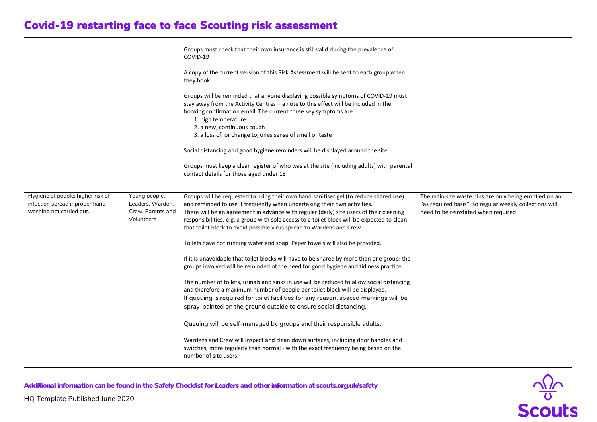|                                                                                                  |                                                                      | Groups must check that their own insurance is still valid during the prevalence of<br>COVID-19<br>A copy of the current version of this Risk Assessment will be sent to each group when<br>they book.<br>Groups will be reminded that anyone displaying possible symptoms of COVID-19 must<br>stay away from the Activity Centres - a note to this effect will be included in the<br>booking confirmation email. The current three key symptoms are:<br>1. high temperature<br>2. a new, continuous cough<br>3. a loss of, or change to, ones sense of smell or taste<br>Social distancing and good hygiene reminders will be displayed around the site.<br>Groups must keep a clear register of who was at the site (including adults) with parental<br>contact details for those aged under 18                                                                                                                                                                                                                                                                                                                                                                                                                                                                                                                                 |                                                                                                                                                         |
|--------------------------------------------------------------------------------------------------|----------------------------------------------------------------------|----------------------------------------------------------------------------------------------------------------------------------------------------------------------------------------------------------------------------------------------------------------------------------------------------------------------------------------------------------------------------------------------------------------------------------------------------------------------------------------------------------------------------------------------------------------------------------------------------------------------------------------------------------------------------------------------------------------------------------------------------------------------------------------------------------------------------------------------------------------------------------------------------------------------------------------------------------------------------------------------------------------------------------------------------------------------------------------------------------------------------------------------------------------------------------------------------------------------------------------------------------------------------------------------------------------------------------|---------------------------------------------------------------------------------------------------------------------------------------------------------|
| Hygiene of people: higher risk of<br>infection spread if proper hand<br>washing not carried out. | Young people,<br>Leaders, Warden,<br>Crew, Parents and<br>Volunteers | Groups will be requested to bring their own hand sanitiser gel (to reduce shared use)<br>and reminded to use it frequently when undertaking their own activities.<br>There will be an agreement in advance with regular (daily) site users of their cleaning<br>responsibilities, e.g. a group with sole access to a toilet block will be expected to clean<br>that toilet block to avoid possible virus spread to Wardens and Crew.<br>Toilets have hot running water and soap. Paper towels will also be provided.<br>If it is unavoidable that toilet blocks will have to be shared by more than one group; the<br>groups involved will be reminded of the need for good hygiene and tidiness practice.<br>The number of toilets, urinals and sinks in use will be reduced to allow social distancing<br>and therefore a maximum number of people per toilet block will be displayed.<br>If queuing is required for toilet facilities for any reason, spaced markings will be<br>spray-painted on the ground outside to ensure social distancing.<br>Queuing will be self-managed by groups and their responsible adults.<br>Wardens and Crew will inspect and clean down surfaces, including door handles and<br>switches, more regularly than normal - with the exact frequency being based on the<br>number of site users. | The main site waste bins are only being emptied on an<br>"as required basis", so regular weekly collections will<br>need to be reinstated when required |



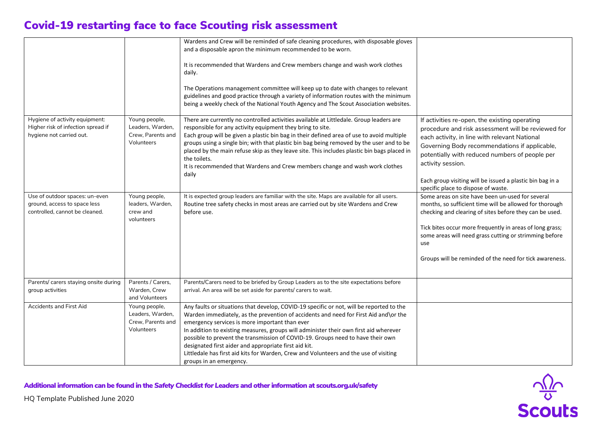|                                                                                                  |                                                                      | Wardens and Crew will be reminded of safe cleaning procedures, with disposable gloves                                                                                                                                                                                                                                                                                                                                                                                                                                                                                                       |                                                                                                                                                                                                                                                                                                                                                                                  |
|--------------------------------------------------------------------------------------------------|----------------------------------------------------------------------|---------------------------------------------------------------------------------------------------------------------------------------------------------------------------------------------------------------------------------------------------------------------------------------------------------------------------------------------------------------------------------------------------------------------------------------------------------------------------------------------------------------------------------------------------------------------------------------------|----------------------------------------------------------------------------------------------------------------------------------------------------------------------------------------------------------------------------------------------------------------------------------------------------------------------------------------------------------------------------------|
|                                                                                                  |                                                                      | and a disposable apron the minimum recommended to be worn.                                                                                                                                                                                                                                                                                                                                                                                                                                                                                                                                  |                                                                                                                                                                                                                                                                                                                                                                                  |
|                                                                                                  |                                                                      | It is recommended that Wardens and Crew members change and wash work clothes<br>daily.                                                                                                                                                                                                                                                                                                                                                                                                                                                                                                      |                                                                                                                                                                                                                                                                                                                                                                                  |
|                                                                                                  |                                                                      | The Operations management committee will keep up to date with changes to relevant<br>guidelines and good practice through a variety of information routes with the minimum<br>being a weekly check of the National Youth Agency and The Scout Association websites.                                                                                                                                                                                                                                                                                                                         |                                                                                                                                                                                                                                                                                                                                                                                  |
| Hygiene of activity equipment:<br>Higher risk of infection spread if<br>hygiene not carried out. | Young people,<br>Leaders, Warden,<br>Crew, Parents and<br>Volunteers | There are currently no controlled activities available at Littledale. Group leaders are<br>responsible for any activity equipment they bring to site.<br>Each group will be given a plastic bin bag in their defined area of use to avoid multiple<br>groups using a single bin; with that plastic bin bag being removed by the user and to be<br>placed by the main refuse skip as they leave site. This includes plastic bin bags placed in<br>the toilets.<br>It is recommended that Wardens and Crew members change and wash work clothes<br>daily                                      | If activities re-open, the existing operating<br>procedure and risk assessment will be reviewed for<br>each activity, in line with relevant National<br>Governing Body recommendations if applicable,<br>potentially with reduced numbers of people per<br>activity session.<br>Each group visiting will be issued a plastic bin bag in a<br>specific place to dispose of waste. |
| Use of outdoor spaces: un-even<br>ground, access to space less<br>controlled, cannot be cleaned. | Young people,<br>leaders, Warden,<br>crew and<br>volunteers          | It is expected group leaders are familiar with the site. Maps are available for all users.<br>Routine tree safety checks in most areas are carried out by site Wardens and Crew<br>before use.                                                                                                                                                                                                                                                                                                                                                                                              | Some areas on site have been un-used for several<br>months, so sufficient time will be allowed for thorough<br>checking and clearing of sites before they can be used.<br>Tick bites occur more frequently in areas of long grass;<br>some areas will need grass cutting or strimming before<br>use<br>Groups will be reminded of the need for tick awareness.                   |
| Parents/ carers staying onsite during<br>group activities                                        | Parents / Carers,<br>Warden, Crew<br>and Volunteers                  | Parents/Carers need to be briefed by Group Leaders as to the site expectations before<br>arrival. An area will be set aside for parents/ carers to wait.                                                                                                                                                                                                                                                                                                                                                                                                                                    |                                                                                                                                                                                                                                                                                                                                                                                  |
| Accidents and First Aid                                                                          | Young people,<br>Leaders, Warden,<br>Crew, Parents and<br>Volunteers | Any faults or situations that develop, COVID-19 specific or not, will be reported to the<br>Warden immediately, as the prevention of accidents and need for First Aid and\or the<br>emergency services is more important than ever<br>In addition to existing measures, groups will administer their own first aid wherever<br>possible to prevent the transmission of COVID-19. Groups need to have their own<br>designated first aider and appropriate first aid kit.<br>Littledale has first aid kits for Warden, Crew and Volunteers and the use of visiting<br>groups in an emergency. |                                                                                                                                                                                                                                                                                                                                                                                  |

Additional information can be found in the *Safety Checklist for Leaders* and other information at scouts.org.uk/safety



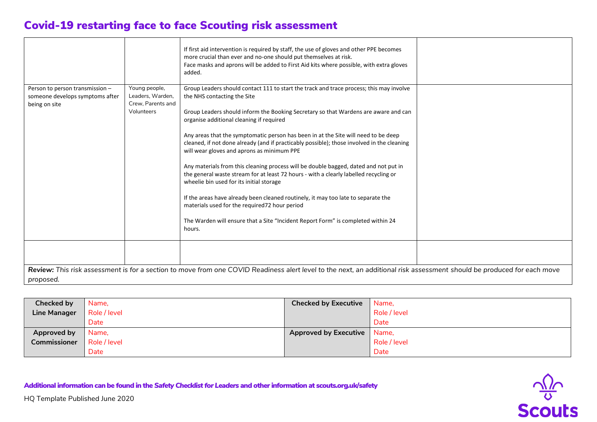|                                                                                     |                                                                      | If first aid intervention is required by staff, the use of gloves and other PPE becomes<br>more crucial than ever and no-one should put themselves at risk.<br>Face masks and aprons will be added to First Aid kits where possible, with extra gloves<br>added.                                                                                                                                                                                                                                                                                                                                                                                                                                                                                                                                                                                                                                                                                             |  |
|-------------------------------------------------------------------------------------|----------------------------------------------------------------------|--------------------------------------------------------------------------------------------------------------------------------------------------------------------------------------------------------------------------------------------------------------------------------------------------------------------------------------------------------------------------------------------------------------------------------------------------------------------------------------------------------------------------------------------------------------------------------------------------------------------------------------------------------------------------------------------------------------------------------------------------------------------------------------------------------------------------------------------------------------------------------------------------------------------------------------------------------------|--|
| Person to person transmission -<br>someone develops symptoms after<br>being on site | Young people,<br>Leaders, Warden,<br>Crew, Parents and<br>Volunteers | Group Leaders should contact 111 to start the track and trace process; this may involve<br>the NHS contacting the Site<br>Group Leaders should inform the Booking Secretary so that Wardens are aware and can<br>organise additional cleaning if required<br>Any areas that the symptomatic person has been in at the Site will need to be deep<br>cleaned, if not done already (and if practicably possible); those involved in the cleaning<br>will wear gloves and aprons as minimum PPE<br>Any materials from this cleaning process will be double bagged, dated and not put in<br>the general waste stream for at least 72 hours - with a clearly labelled recycling or<br>wheelie bin used for its initial storage<br>If the areas have already been cleaned routinely, it may too late to separate the<br>materials used for the required72 hour period<br>The Warden will ensure that a Site "Incident Report Form" is completed within 24<br>hours. |  |
|                                                                                     |                                                                      | Review: This risk assessment is for a section to move from one COVID Readiness alert level to the next, an additional risk assessment should be produced for each move                                                                                                                                                                                                                                                                                                                                                                                                                                                                                                                                                                                                                                                                                                                                                                                       |  |
| proposed.                                                                           |                                                                      |                                                                                                                                                                                                                                                                                                                                                                                                                                                                                                                                                                                                                                                                                                                                                                                                                                                                                                                                                              |  |

| Checked by          | Name,        | <b>Checked by Executive</b> | Name,        |
|---------------------|--------------|-----------------------------|--------------|
| <b>Line Manager</b> | Role / level |                             | Role / level |
|                     | Date         |                             | Date         |
| Approved by         | Name,        | Approved by Executive       | Name,        |
| Commissioner        | Role / level |                             | Role / level |
|                     | Date         |                             | Date         |

Additional information can be found in the *Safety Checklist for Leaders* and other information at scouts.org.uk/safety



HQ Template Published June 2020